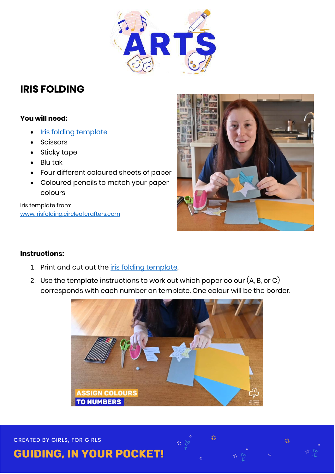

## **IRIS FOLDING**

## **You will need:**

- [Iris folding template](https://www.guidesvic.org.au/wp-content/uploads/2020/10/Iris-Folding-Template.pdf)
- Scissors
- Sticky tape
- Blu tak
- Four different coloured sheets of paper
- Coloured pencils to match your paper colours

Iris template from: [www.irisfolding.circleofcrafters.com](http://www.irisfolding.circleofcrafters.com/)



## **Instructions:**

- 1. Print and cut out the *iris folding template*.
- 2. Use the template instructions to work out which paper colour (A, B, or C) corresponds with each number on template. One colour will be the border.



☆ (

≵≵

惢

**CREATED BY GIRLS, FOR GIRLS** 

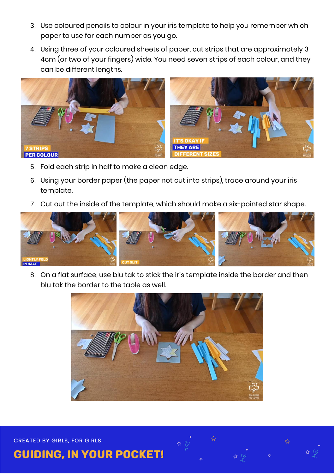- 3. Use coloured pencils to colour in your iris template to help you remember which paper to use for each number as you go.
- 4. Using three of your coloured sheets of paper, cut strips that are approximately 3- 4cm (or two of your fingers) wide. You need seven strips of each colour, and they can be different lengths.



- 5. Fold each strip in half to make a clean edge.
- 6. Using your border paper (the paper not cut into strips), trace around your iris template.
- 7. Cut out the inside of the template, which should make a six-pointed star shape.



8. On a flat surface, use blu tak to stick the iris template inside the border and then blu tak the border to the table as well.



**CREATED BY GIRLS, FOR GIRLS** 

**GUIDING, IN YOUR POCKET!**